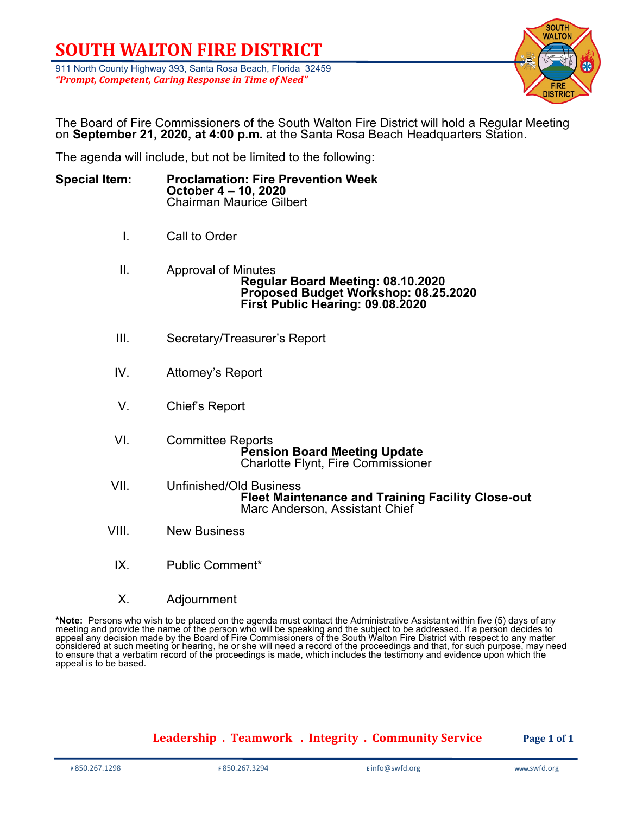### **SOUTH WALTON FIRE DISTRICT**

911 North County Highway 393, Santa Rosa Beach, Florida 32459 *"Prompt, Competent, Caring Response in Time of Need"*



The Board of Fire Commissioners of the South Walton Fire District will hold a Regular Meeting on **September 21, 2020, at 4:00 p.m.** at the Santa Rosa Beach Headquarters Station.

The agenda will include, but not be limited to the following:

| <b>Special Item:</b> | <b>Proclamation: Fire Prevention Week</b><br>October 4 – 10, 2020 |
|----------------------|-------------------------------------------------------------------|
|                      | <b>Chairman Maurice Gilbert</b>                                   |

- I. Call to Order
- II. Approval of Minutes **Regular Board Meeting: 08.10.2020 Proposed Budget Workshop: 08.25.2020 First Public Hearing: 09.08.2020**
- III. Secretary/Treasurer's Report
- IV. Attorney's Report
- V. Chief's Report
- VI. Committee Reports<br>Pension Board Meeting Update **Charlotte Flynt, Fire Commissioner**
- VII. Unfinished/Old Business **Fleet Maintenance and Training Facility Close-out** Marc Anderson, Assistant Chief
- VIII. New Business
- IX. Public Comment\*
- X. Adjournment

**\*Note:** Persons who wish to be placed on the agenda must contact the Administrative Assistant within five (5) days of any<br>meeting and provide the name of the person who will be speaking and the subject to be addressed. I appeal any decision made by the Board of Fire Commissioners of the South Walton Fire District with respect to any matter considered at such meeting or hearing, he or she will need a record of the proceedings and that, for such purpose, may need to ensure that a verbatim record of the proceedings is made, which includes the testimony and evidence upon which the appeal is to be based.

#### **Leadership . Teamwork . Integrity . Community Service Page 1 of 1**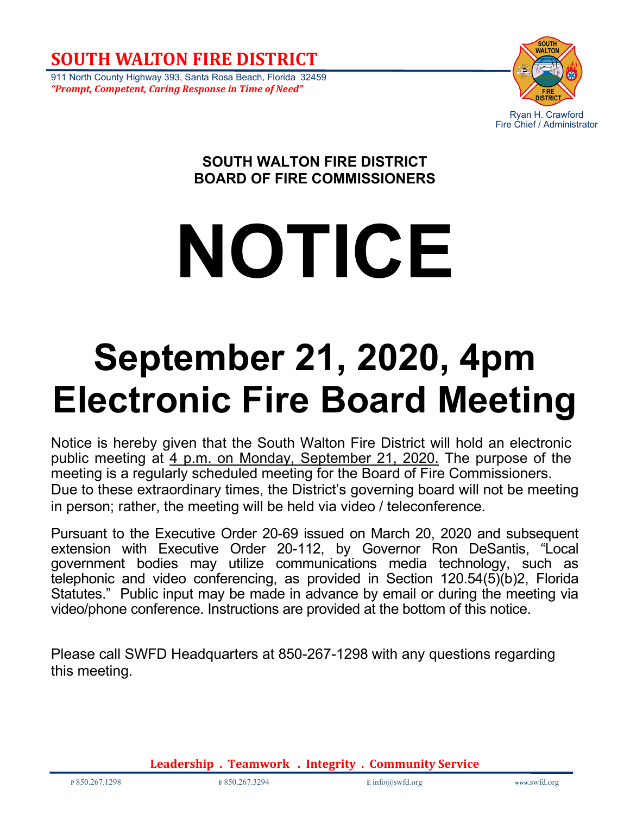**SOUTH WALTON FIRE DISTRICT**

911 North County Highway 393, Santa Rosa Beach, Florida 32459 *"Prompt, Competent, Caring Response in Time of Need"*



### **SOUTH WALTON FIRE DISTRICT BOARD OF FIRE COMMISSIONERS**

# **NOTICE**

## **September 21, 2020, 4pm Electronic Fire Board Meeting**

Notice is hereby given that the South Walton Fire District will hold an electronic public meeting at 4 p.m. on Monday, September 21, 2020. The purpose of the meeting is a regularly scheduled meeting for the Board of Fire Commissioners. Due to these extraordinary times, the District's governing board will not be meeting in person; rather, the meeting will be held via video / teleconference.

Pursuant to the Executive Order 20-69 issued on March 20, 2020 and subsequent extension with Executive Order 20-112, by Governor Ron DeSantis, "Local government bodies may utilize communications media technology, such as telephonic and video conferencing, as provided in Section 120.54(5)(b)2, Florida Statutes." Public input may be made in advance by email or during the meeting via video/phone conference. Instructions are provided at the bottom of this notice.

Please call SWFD Headquarters at 850-267-1298 with any questions regarding this meeting.

**Leadership . Teamwork . Integrity . Community Service**